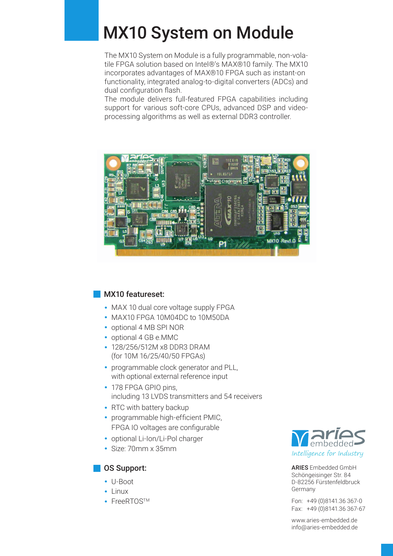## MX10 System on Module

The MX10 System on Module is a fully programmable, non-volatile FPGA solution based on Intel®'s MAX®10 family. The MX10 incorporates advantages of MAX®10 FPGA such as instant-on functionality, integrated analog-to-digital converters (ADCs) and dual configuration flash.

The module delivers full-featured FPGA capabilities including support for various soft-core CPUs, advanced DSP and videoprocessing algorithms as well as external DDR3 controller.



## **MX10 featureset:**

- **·** MAX 10 dual core voltage supply FPGA
- **·** MAX10 FPGA 10M04DC to 10M50DA
- **·** optional 4 MB SPI NOR
- **·** optional 4 GB e.MMC
- **·** 128/256/512M x8 DDR3 DRAM (for 10M 16/25/40/50 FPGAs)
- **·** programmable clock generator and PLL, with optional external reference input
- **·** 178 FPGA GPIO pins, including 13 LVDS transmitters and 54 receivers
- **·** RTC with battery backup
- programmable high-efficient PMIC, FPGA IO voltages are configurable
- **·** optional Li-Ion/Li-Pol charger
- **·** Size: 70mm x 35mm

## OS Support:

- **·** U-Boot
- **·** Linux
- **·** FreeRTOSTM



ARIES Embedded GmbH Schöngeisinger Str. 84 D-82256 Fürstenfeldbruck Germany

Fon: +49 (0)8141.36 367-0 Fax: +49 (0)8141.36 367-67

www.aries-embedded.de info@aries-embedded.de